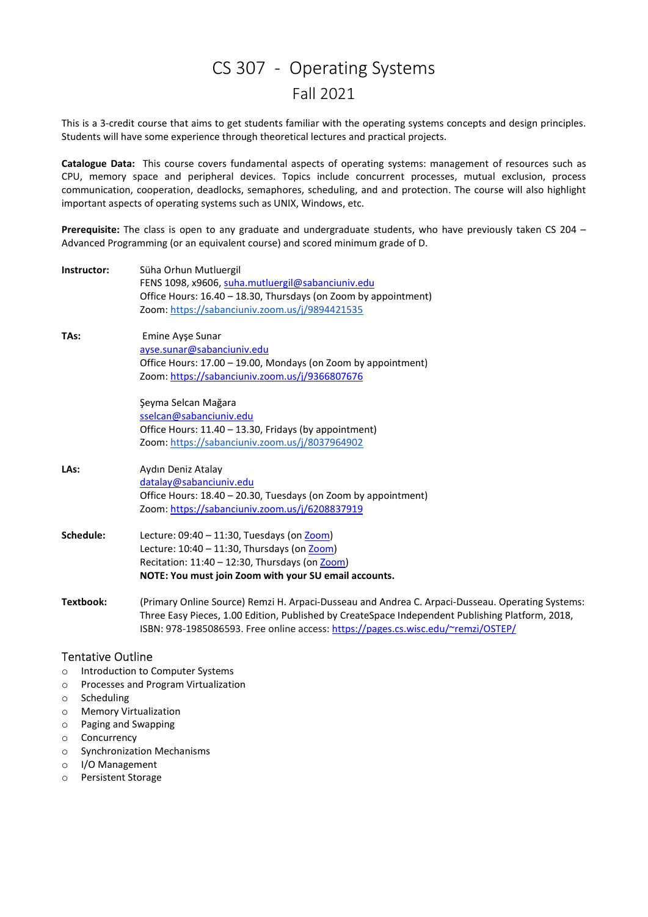## CS 307 - Operating Systems Fall 2021

This is a 3-credit course that aims to get students familiar with the operating systems concepts and design principles. Students will have some experience through theoretical lectures and practical projects.

Catalogue Data: This course covers fundamental aspects of operating systems: management of resources such as CPU, memory space and peripheral devices. Topics include concurrent processes, mutual exclusion, process communication, cooperation, deadlocks, semaphores, scheduling, and and protection. The course will also highlight important aspects of operating systems such as UNIX, Windows, etc.

Prerequisite: The class is open to any graduate and undergraduate students, who have previously taken CS 204 -Advanced Programming (or an equivalent course) and scored minimum grade of D.

| Instructor: | Süha Orhun Mutluergil<br>FENS 1098, x9606, suha.mutluergil@sabanciuniv.edu<br>Office Hours: 16.40 - 18.30, Thursdays (on Zoom by appointment)<br>Zoom: https://sabanciuniv.zoom.us/j/9894421535 |
|-------------|-------------------------------------------------------------------------------------------------------------------------------------------------------------------------------------------------|
| TAs:        | Emine Ayşe Sunar<br>ayse.sunar@sabanciuniv.edu                                                                                                                                                  |
|             | Office Hours: 17.00 - 19.00, Mondays (on Zoom by appointment)                                                                                                                                   |
|             | Zoom: https://sabanciuniv.zoom.us/j/9366807676                                                                                                                                                  |
|             | Şeyma Selcan Mağara                                                                                                                                                                             |
|             | sselcan@sabanciuniv.edu                                                                                                                                                                         |
|             | Office Hours: 11.40 - 13.30, Fridays (by appointment)                                                                                                                                           |
|             | Zoom: https://sabanciuniv.zoom.us/j/8037964902                                                                                                                                                  |
| LAs:        | Aydın Deniz Atalay                                                                                                                                                                              |
|             | datalay@sabanciuniv.edu                                                                                                                                                                         |
|             | Office Hours: 18.40 - 20.30, Tuesdays (on Zoom by appointment)                                                                                                                                  |
|             | Zoom: https://sabanciuniv.zoom.us/j/6208837919                                                                                                                                                  |
| Schedule:   | Lecture: 09:40 - 11:30, Tuesdays (on Zoom)                                                                                                                                                      |
|             | Lecture: $10:40 - 11:30$ , Thursdays (on Zoom)                                                                                                                                                  |
|             | Recitation: $11:40 - 12:30$ , Thursdays (on Zoom)                                                                                                                                               |
|             | NOTE: You must join Zoom with your SU email accounts.                                                                                                                                           |
| Textbook:   | (Primary Online Source) Remzi H. Arpaci-Dusseau and Andrea C. Arpaci-Dusseau. Operating Systems:                                                                                                |
|             | Three Easy Pieces, 1.00 Edition, Published by CreateSpace Independent Publishing Platform, 2018,<br>ISBN: 978-1985086593. Free online access: https://pages.cs.wisc.edu/~remzi/OSTEP/           |
|             |                                                                                                                                                                                                 |

## Tentative Outline

- o Introduction to Computer Systems
- o Processes and Program Virtualization
- o Scheduling
- o Memory Virtualization
- o Paging and Swapping
- o Concurrency
- o Synchronization Mechanisms
- o I/O Management
- o Persistent Storage